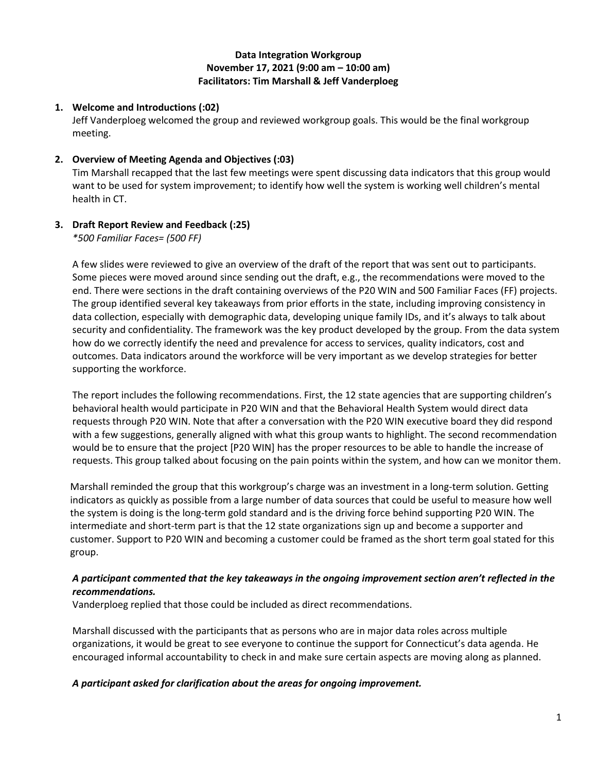## **Data Integration Workgroup November 17, 2021 (9:00 am – 10:00 am) Facilitators: Tim Marshall & Jeff Vanderploeg**

# **1. Welcome and Introductions (:02)**

Jeff Vanderploeg welcomed the group and reviewed workgroup goals. This would be the final workgroup meeting.

## **2. Overview of Meeting Agenda and Objectives (:03)**

Tim Marshall recapped that the last few meetings were spent discussing data indicators that this group would want to be used for system improvement; to identify how well the system is working well children's mental health in CT.

# **3. Draft Report Review and Feedback (:25)**

*\*500 Familiar Faces= (500 FF)*

A few slides were reviewed to give an overview of the draft of the report that was sent out to participants. Some pieces were moved around since sending out the draft, e.g., the recommendations were moved to the end. There were sections in the draft containing overviews of the P20 WIN and 500 Familiar Faces (FF) projects. The group identified several key takeaways from prior efforts in the state, including improving consistency in data collection, especially with demographic data, developing unique family IDs, and it's always to talk about security and confidentiality. The framework was the key product developed by the group. From the data system how do we correctly identify the need and prevalence for access to services, quality indicators, cost and outcomes. Data indicators around the workforce will be very important as we develop strategies for better supporting the workforce.

The report includes the following recommendations. First, the 12 state agencies that are supporting children's behavioral health would participate in P20 WIN and that the Behavioral Health System would direct data requests through P20 WIN. Note that after a conversation with the P20 WIN executive board they did respond with a few suggestions, generally aligned with what this group wants to highlight. The second recommendation would be to ensure that the project [P20 WIN] has the proper resources to be able to handle the increase of requests. This group talked about focusing on the pain points within the system, and how can we monitor them.

Marshall reminded the group that this workgroup's charge was an investment in a long-term solution. Getting indicators as quickly as possible from a large number of data sources that could be useful to measure how well the system is doing is the long-term gold standard and is the driving force behind supporting P20 WIN. The intermediate and short-term part is that the 12 state organizations sign up and become a supporter and customer. Support to P20 WIN and becoming a customer could be framed as the short term goal stated for this group.

#### *A participant commented that the key takeaways in the ongoing improvement section aren't reflected in the recommendations.*

Vanderploeg replied that those could be included as direct recommendations.

Marshall discussed with the participants that as persons who are in major data roles across multiple organizations, it would be great to see everyone to continue the support for Connecticut's data agenda. He encouraged informal accountability to check in and make sure certain aspects are moving along as planned.

# *A participant asked for clarification about the areas for ongoing improvement.*